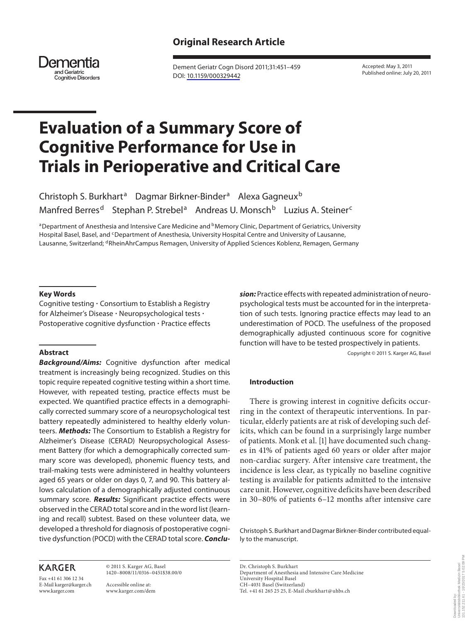# **Original Research Article**



 Dement Geriatr Cogn Disord 2011;31:451–459 DOI: [10.1159/000329442](http://dx.doi.org/10.1159%2F000329442)

 Accepted: May 3, 2011 Published online: July 20, 2011

# **Evaluation of a Summary Score of Cognitive Performance for Use in Trials in Perioperative and Critical Care**

Christoph S. Burkhart<sup>a</sup> Dagmar Birkner-Binder<sup>a</sup> Alexa Gagneux<sup>b</sup> Manfred Berres<sup>d</sup> Stephan P. Strebel<sup>a</sup> Andreas U. Monsch<sup>b</sup> Luzius A. Steiner<sup>c</sup>

a Department of Anesthesia and Intensive Care Medicine and <sup>b</sup> Memory Clinic, Department of Geriatrics, University Hospital Basel, Basel, and <sup>c</sup> Department of Anesthesia, University Hospital Centre and University of Lausanne, Lausanne, Switzerland; <sup>d</sup> RheinAhrCampus Remagen, University of Applied Sciences Koblenz, Remagen, Germany

### **Key Words**

Cognitive testing  $\cdot$  Consortium to Establish a Registry for Alzheimer's Disease - Neuropsychological tests -Postoperative cognitive dysfunction · Practice effects

# **Abstract**

*Background/Aims:* Cognitive dysfunction after medical treatment is increasingly being recognized. Studies on this topic require repeated cognitive testing within a short time. However, with repeated testing, practice effects must be expected. We quantified practice effects in a demographically corrected summary score of a neuropsychological test battery repeatedly administered to healthy elderly volunteers. *Methods:* The Consortium to Establish a Registry for Alzheimer's Disease (CERAD) Neuropsychological Assessment Battery (for which a demographically corrected summary score was developed), phonemic fluency tests, and trail-making tests were administered in healthy volunteers aged 65 years or older on days 0, 7, and 90. This battery allows calculation of a demographically adjusted continuous summary score. *Results:* Significant practice effects were observed in the CERAD total score and in the word list (learning and recall) subtest. Based on these volunteer data, we developed a threshold for diagnosis of postoperative cognitive dysfunction (POCD) with the CERAD total score. *Conclu-*

# **KARGER**

Fax +41 61 306 12 34 E-Mail karger@karger.ch www.karger.com

 © 2011 S. Karger AG, Basel 1420–8008/11/0316–0451\$38.00/0

 Accessible online at: www.karger.com/dem *sion:* Practice effects with repeated administration of neuropsychological tests must be accounted for in the interpretation of such tests. Ignoring practice effects may lead to an underestimation of POCD. The usefulness of the proposed demographically adjusted continuous score for cognitive function will have to be tested prospectively in patients.

Copyright © 2011 S. Karger AG, Basel

# **Introduction**

 There is growing interest in cognitive deficits occurring in the context of therapeutic interventions. In particular, elderly patients are at risk of developing such deficits, which can be found in a surprisingly large number of patients. Monk et al. [1] have documented such changes in 41% of patients aged 60 years or older after major non-cardiac surgery. After intensive care treatment, the incidence is less clear, as typically no baseline cognitive testing is available for patients admitted to the intensive care unit. However, cognitive deficits have been described in 30–80% of patients 6–12 months after intensive care

 Christoph S. Burkhart and Dagmar Birkner-Binder contributed equally to the manuscript.

 Dr. Christoph S. Burkhart Department of Anesthesia and Intensive Care Medicine University Hospital Basel CH–4031 Basel (Switzerland) Tel. +41 61 265 25 25, E-Mail cburkhart @ uhbs.ch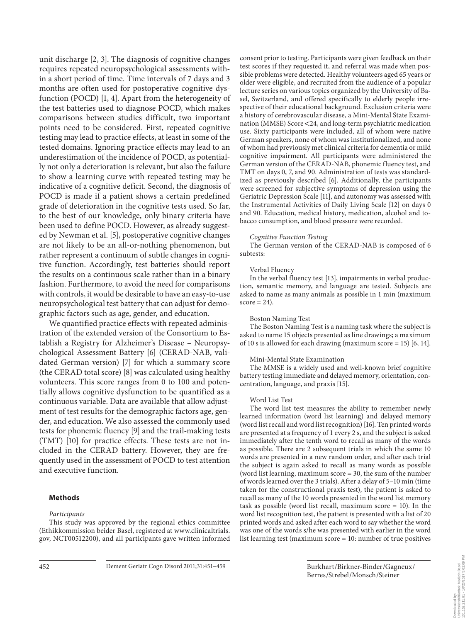unit discharge  $[2, 3]$ . The diagnosis of cognitive changes requires repeated neuropsychological assessments within a short period of time. Time intervals of 7 days and 3 months are often used for postoperative cognitive dysfunction (POCD) [1, 4]. Apart from the heterogeneity of the test batteries used to diagnose POCD, which makes comparisons between studies difficult, two important points need to be considered. First, repeated cognitive testing may lead to practice effects, at least in some of the tested domains. Ignoring practice effects may lead to an underestimation of the incidence of POCD, as potentially not only a deterioration is relevant, but also the failure to show a learning curve with repeated testing may be indicative of a cognitive deficit. Second, the diagnosis of POCD is made if a patient shows a certain predefined grade of deterioration in the cognitive tests used. So far, to the best of our knowledge, only binary criteria have been used to define POCD. However, as already suggested by Newman et al. [5], postoperative cognitive changes are not likely to be an all-or-nothing phenomenon, but rather represent a continuum of subtle changes in cognitive function. Accordingly, test batteries should report the results on a continuous scale rather than in a binary fashion. Furthermore, to avoid the need for comparisons with controls, it would be desirable to have an easy-to-use neuropsychological test battery that can adjust for demographic factors such as age, gender, and education.

 We quantified practice effects with repeated administration of the extended version of the Consortium to Establish a Registry for Alzheimer's Disease – Neuropsychological Assessment Battery [6] (CERAD-NAB, validated German version) [7] for which a summary score (the CERAD total score) [8] was calculated using healthy volunteers. This score ranges from 0 to 100 and potentially allows cognitive dysfunction to be quantified as a continuous variable. Data are available that allow adjustment of test results for the demographic factors age, gender, and education. We also assessed the commonly used tests for phonemic fluency [9] and the trail-making tests (TMT) [10] for practice effects. These tests are not included in the CERAD battery. However, they are frequently used in the assessment of POCD to test attention and executive function.

# **Methods**

# *Participants*

 This study was approved by the regional ethics committee (Ethikkommission beider Basel, registered at www.clinicaltrials. gov, NCT00512200), and all participants gave written informed consent prior to testing. Participants were given feedback on their test scores if they requested it, and referral was made when possible problems were detected. Healthy volunteers aged 65 years or older were eligible, and recruited from the audience of a popular lecture series on various topics organized by the University of Basel, Switzerland, and offered specifically to elderly people irrespective of their educational background. Exclusion criteria were a history of cerebrovascular disease, a Mini-Mental State Examination (MMSE) Score  $\leq$ 24, and long-term psychiatric medication use. Sixty participants were included, all of whom were native German speakers, none of whom was institutionalized, and none of whom had previously met clinical criteria for dementia or mild cognitive impairment. All participants were administered the German version of the CERAD-NAB, phonemic fluency test, and TMT on days 0, 7, and 90. Administration of tests was standardized as previously described [6]. Additionally, the participants were screened for subjective symptoms of depression using the Geriatric Depression Scale [11] , and autonomy was assessed with the Instrumental Activities of Daily Living Scale [12] on days 0 and 90. Education, medical history, medication, alcohol and tobacco consumption, and blood pressure were recorded.

# *Cognitive Function Testing*

 The German version of the CERAD-NAB is composed of 6 subtests:

# Verbal Fluency

In the verbal fluency test [13], impairments in verbal production, semantic memory, and language are tested. Subjects are asked to name as many animals as possible in 1 min (maximum  $score = 24$ ).

# Boston Naming Test

 The Boston Naming Test is a naming task where the subject is asked to name 15 objects presented as line drawings; a maximum of 10 s is allowed for each drawing (maximum score = 15) [6, 14].

# Mini-Mental State Examination

 The MMSE is a widely used and well-known brief cognitive battery testing immediate and delayed memory, orientation, concentration, language, and praxis [15] .

#### Word List Test

 The word list test measures the ability to remember newly learned information (word list learning) and delayed memory (word list recall and word list recognition) [16] . Ten printed words are presented at a frequency of 1 every 2 s, and the subject is asked immediately after the tenth word to recall as many of the words as possible. There are 2 subsequent trials in which the same 10 words are presented in a new random order, and after each trial the subject is again asked to recall as many words as possible (word list learning, maximum score = 30, the sum of the number of words learned over the 3 trials). After a delay of 5–10 min (time taken for the constructional praxis test), the patient is asked to recall as many of the 10 words presented in the word list memory task as possible (word list recall, maximum score = 10). In the word list recognition test, the patient is presented with a list of 20 printed words and asked after each word to say whether the word was one of the words s/he was presented with earlier in the word list learning test (maximum score = 10: number of true positives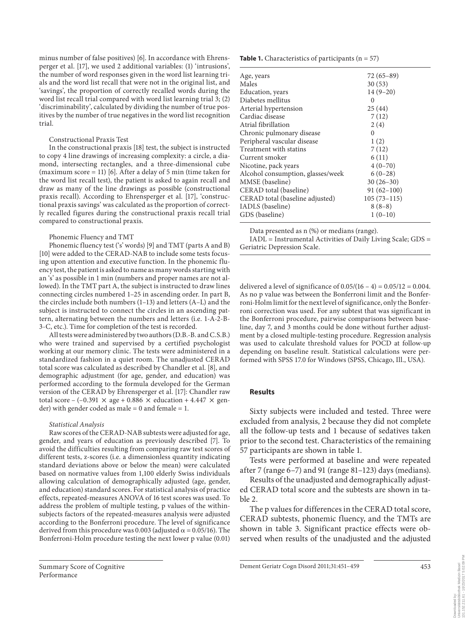minus number of false positives) [6]. In accordance with Ehrensperger et al. [17] , we used 2 additional variables: (1) 'intrusions', the number of word responses given in the word list learning trials and the word list recall that were not in the original list, and 'savings', the proportion of correctly recalled words during the word list recall trial compared with word list learning trial 3; (2) 'discriminability', calculated by dividing the number of true positives by the number of true negatives in the word list recognition trial.

#### Constructional Praxis Test

 In the constructional praxis [18] test, the subject is instructed to copy 4 line drawings of increasing complexity: a circle, a diamond, intersecting rectangles, and a three-dimensional cube (maximum score  $=$  11) [6]. After a delay of 5 min (time taken for the word list recall test), the patient is asked to again recall and draw as many of the line drawings as possible (constructional praxis recall). According to Ehrensperger et al. [17], 'constructional praxis savings' was calculated as the proportion of correctly recalled figures during the constructional praxis recall trial compared to constructional praxis.

#### Phonemic Fluency and TMT

 Phonemic fluency test ('s' words) [9] and TMT (parts A and B) [10] were added to the CERAD-NAB to include some tests focusing upon attention and executive function. In the phonemic fluency test, the patient is asked to name as many words starting with an 's' as possible in 1 min (numbers and proper names are not allowed). In the TMT part A, the subject is instructed to draw lines connecting circles numbered 1–25 in ascending order. In part B, the circles include both numbers (1–13) and letters (A–L) and the subject is instructed to connect the circles in an ascending pattern, alternating between the numbers and letters (i.e. 1-A-2-B-3-C, etc.). Time for completion of the test is recorded.

 All tests were administered by two authors (D.B.-B. and C.S.B.) who were trained and supervised by a certified psychologist working at our memory clinic. The tests were administered in a standardized fashion in a quiet room. The unadjusted CERAD total score was calculated as described by Chandler et al. [8], and demographic adjustment (for age, gender, and education) was performed according to the formula developed for the German version of the CERAD by Ehrensperger et al. [17] : Chandler raw total score – (–0.391  $\times$  age + 0.886  $\times$  education + 4.447  $\times$  gender) with gender coded as male  $= 0$  and female  $= 1$ .

#### *Statistical Analysis*

 Raw scores of the CERAD-NAB subtests were adjusted for age, gender, and years of education as previously described [7]. To avoid the difficulties resulting from comparing raw test scores of different tests, z-scores (i.e. a dimensionless quantity indicating standard deviations above or below the mean) were calculated based on normative values from 1,100 elderly Swiss individuals allowing calculation of demographically adjusted (age, gender, and education) standard scores. For statistical analysis of practice effects, repeated-measures ANOVA of 16 test scores was used. To address the problem of multiple testing, p values of the withinsubjects factors of the repeated-measures analysis were adjusted according to the Bonferroni procedure. The level of significance derived from this procedure was 0.003 (adjusted  $\alpha$  = 0.05/16). The Bonferroni-Holm procedure testing the next lower p value (0.01)

**Table 1.** Characteristics of participants  $(n = 57)$ 

| Age, years                        | $72(65-89)$     |
|-----------------------------------|-----------------|
| Males                             | 30(53)          |
| Education, years                  | $14(9-20)$      |
| Diabetes mellitus                 | 0               |
| Arterial hypertension             | 25(44)          |
| Cardiac disease                   | 7(12)           |
| Atrial fibrillation               | 2(4)            |
| Chronic pulmonary disease         | $\theta$        |
| Peripheral vascular disease       | 1(2)            |
| Treatment with statins            | 7(12)           |
| Current smoker                    | 6(11)           |
| Nicotine, pack years              | $4(0-70)$       |
| Alcohol consumption, glasses/week | $6(0-28)$       |
| MMSE (baseline)                   | $30(26-30)$     |
| CERAD total (baseline)            | $91(62-100)$    |
| CERAD total (baseline adjusted)   | $105(73 - 115)$ |
| IADLS (baseline)                  | $8(8-8)$        |
| GDS (baseline)                    | $1(0-10)$       |
|                                   |                 |

Data presented as n (%) or medians (range).

IADL = Instrumental Activities of Daily Living Scale; GDS = Geriatric Depression Scale.

delivered a level of significance of  $0.05/(16 - 4) = 0.05/12 = 0.004$ . As no p value was between the Bonferroni limit and the Bonferroni-Holm limit for the next level of significance, only the Bonferroni correction was used. For any subtest that was significant in the Bonferroni procedure, pairwise comparisons between baseline, day 7, and 3 months could be done without further adjustment by a closed multiple-testing procedure. Regression analysis was used to calculate threshold values for POCD at follow-up depending on baseline result. Statistical calculations were performed with SPSS 17.0 for Windows (SPSS, Chicago, Ill., USA).

### **Results**

 Sixty subjects were included and tested. Three were excluded from analysis, 2 because they did not complete all the follow-up tests and 1 because of sedatives taken prior to the second test. Characteristics of the remaining 57 participants are shown in table 1.

 Tests were performed at baseline and were repeated after 7 (range 6–7) and 91 (range 81–123) days (medians).

 Results of the unadjusted and demographically adjusted CERAD total score and the subtests are shown in table 2.

 The p values for differences in the CERAD total score, CERAD subtests, phonemic fluency, and the TMTs are shown in table 3. Significant practice effects were observed when results of the unadjusted and the adjusted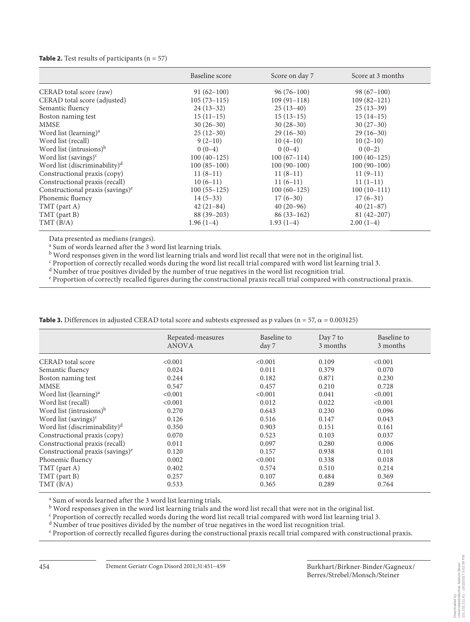# **Table 2.** Test results of participants  $(n = 57)$

|                                              | Baseline score | Score on day 7 | Score at 3 months |
|----------------------------------------------|----------------|----------------|-------------------|
| CERAD total score (raw)                      | $91(62-100)$   | $96(76-100)$   | $98(67-100)$      |
| CERAD total score (adjusted)                 | $105(73-115)$  | $109(91-118)$  | $109(82-121)$     |
| Semantic fluency                             | $24(13-32)$    | $25(13-40)$    | $25(13-39)$       |
| Boston naming test                           | $15(11-15)$    | $15(13-15)$    | $15(14-15)$       |
| MMSE                                         | $30(26-30)$    | $30(28-30)$    | $30(27-30)$       |
| Word list (learning) <sup>a</sup>            | $25(12-30)$    | $29(16-30)$    | $29(16-30)$       |
| Word list (recall)                           | $9(2-10)$      | $10(4-10)$     | $10(2-10)$        |
| Word list (intrusions) <sup>b</sup>          | $0(0-4)$       | $0(0-4)$       | $0(0-2)$          |
| Word list (savings) $\text{c}$               | $100(40-125)$  | $100(67-114)$  | $100(40-125)$     |
| Word list (discriminability) <sup>d</sup>    | $100(85-100)$  | $100(90-100)$  | $100(90-100)$     |
| Constructional praxis (copy)                 | $11(8-11)$     | $11(8-11)$     | $11(9-11)$        |
| Constructional praxis (recall)               | $10(6-11)$     | $11(6-11)$     | $11(1-11)$        |
| Constructional praxis (savings) <sup>e</sup> | $100(55-125)$  | $100(60-125)$  | $100(10-111)$     |
| Phonemic fluency                             | $14(5-33)$     | $17(6-30)$     | $17(6-31)$        |
| TMT (part A)                                 | $42(21-84)$    | $40(20-96)$    | $40(21-87)$       |
| TMT (part B)                                 | $88(39-203)$   | $86(33-162)$   | $81(42-207)$      |
| TMT(B/A)                                     | $1.96(1-4)$    | $1.93(1-4)$    | $2.00(1-4)$       |

Data presented as medians (ranges).

a Sum of words learned after the 3 word list learning trials.

b Word responses given in the word list learning trials and word list recall that were not in the original list.

c Proportion of correctly recalled words during the word list recall trial compared with word list learning trial 3.

d Number of true positives divided by the number of true negatives in the word list recognition trial.

e Proportion of correctly recalled figures during the constructional praxis recall trial compared with constructional praxis.

|                                              | Repeated-measures<br><b>ANOVA</b> | Baseline to<br>day 7 | Day 7 to<br>3 months | Baseline to<br>3 months |
|----------------------------------------------|-----------------------------------|----------------------|----------------------|-------------------------|
| CERAD total score                            | < 0.001                           | < 0.001              | 0.109                | < 0.001                 |
| Semantic fluency                             | 0.024                             | 0.011                | 0.379                | 0.070                   |
| Boston naming test                           | 0.244                             | 0.182                | 0.871                | 0.230                   |
| MMSE                                         | 0.547                             | 0.457                | 0.210                | 0.728                   |
| Word list (learning) <sup>a</sup>            | < 0.001                           | < 0.001              | 0.041                | < 0.001                 |
| Word list (recall)                           | < 0.001                           | 0.012                | 0.022                | < 0.001                 |
| Word list (intrusions) <sup>b</sup>          | 0.270                             | 0.643                | 0.230                | 0.096                   |
| Word list (savings) <sup>c</sup>             | 0.126                             | 0.516                | 0.147                | 0.043                   |
| Word list (discriminability) <sup>d</sup>    | 0.350                             | 0.903                | 0.151                | 0.161                   |
| Constructional praxis (copy)                 | 0.070                             | 0.523                | 0.103                | 0.037                   |
| Constructional praxis (recall)               | 0.011                             | 0.097                | 0.280                | 0.006                   |
| Constructional praxis (savings) <sup>e</sup> | 0.120                             | 0.157                | 0.938                | 0.101                   |
| Phonemic fluency                             | 0.002                             | < 0.001              | 0.338                | 0.018                   |
| TMT (part A)                                 | 0.402                             | 0.574                | 0.510                | 0.214                   |
| TMT (part B)                                 | 0.257                             | 0.107                | 0.484                | 0.369                   |
| TMT(B/A)                                     | 0.533                             | 0.365                | 0.289                | 0.764                   |

| Table 3. Differences in adjusted CERAD total score and subtests expressed as p values ( $n = 57$ , $\alpha = 0.003125$ ) |  |  |  |  |
|--------------------------------------------------------------------------------------------------------------------------|--|--|--|--|
|--------------------------------------------------------------------------------------------------------------------------|--|--|--|--|

a Sum of words learned after the 3 word list learning trials.

b Word responses given in the word list learning trials and the word list recall that were not in the original list.

c Proportion of correctly recalled words during the word list recall trial compared with word list learning trial 3.

d Number of true positives divided by the number of true negatives in the word list recognition trial.

e Proportion of correctly recalled figures during the constructional praxis recall trial compared with constructional praxis.

Downloaded by:

Downloaded by:<br>Universitätsbibliothek Medizin Basel<br>131.152.211.61 - 10/23/2017 5:02:09 PM 131.152.211.61 - 10/23/2017 5:02:09 PMUniversitätsbibliothek Medizin Basel

 Burkhart /Birkner-Binder /Gagneux / Berres /Strebel /Monsch /Steiner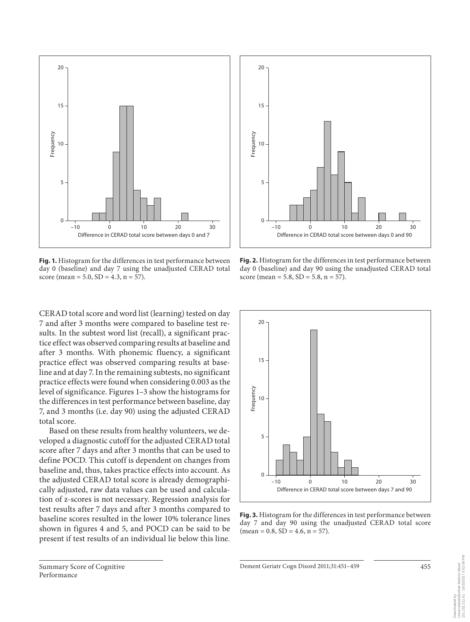

**Fig. 1.** Histogram for the differences in test performance between day 0 (baseline) and day 7 using the unadjusted CERAD total score (mean = 5.0, SD = 4.3, n = 57).



**Fig. 2.** Histogram for the differences in test performance between day 0 (baseline) and day 90 using the unadjusted CERAD total score (mean =  $5.8$ , SD =  $5.8$ , n =  $57$ ).

CERAD total score and word list (learning) tested on day 7 and after 3 months were compared to baseline test results. In the subtest word list (recall), a significant practice effect was observed comparing results at baseline and after 3 months. With phonemic fluency, a significant practice effect was observed comparing results at baseline and at day 7. In the remaining subtests, no significant practice effects were found when considering 0.003 as the level of significance. Figures 1–3 show the histograms for the differences in test performance between baseline, day 7, and 3 months (i.e. day 90) using the adjusted CERAD total score.

 Based on these results from healthy volunteers, we developed a diagnostic cutoff for the adjusted CERAD total score after 7 days and after 3 months that can be used to define POCD. This cutoff is dependent on changes from baseline and, thus, takes practice effects into account. As the adjusted CERAD total score is already demographically adjusted, raw data values can be used and calculation of z-scores is not necessary. Regression analysis for test results after 7 days and after 3 months compared to baseline scores resulted in the lower 10% tolerance lines shown in figures 4 and 5, and POCD can be said to be present if test results of an individual lie below this line.



**Fig. 3.** Histogram for the differences in test performance between day 7 and day 90 using the unadjusted CERAD total score  $mean = 0.8$ ,  $SD = 4.6$ ,  $n = 57$ ).

Downloaded by:<br>Universitätsbibliothek Medizin Basel<br>131.152.211.61 - 10/23/2017 5:02:09 PM 131.152.211.61 - 10/23/2017 5:02:09 PMUniversitätsbibliothek Medizin Basel Downloaded by: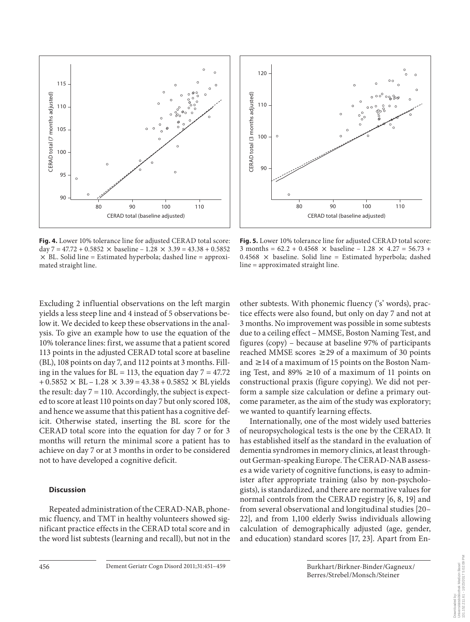



**Fig. 4.** Lower 10% tolerance line for adjusted CERAD total score: day 7 = 47.72 + 0.5852  $\times$  baseline – 1.28  $\times$  3.39 = 43.38 + 0.5852  $\times$  BL. Solid line = Estimated hyperbola; dashed line = approximated straight line.

**Fig. 5.** Lower 10% tolerance line for adjusted CERAD total score: 3 months =  $62.2 + 0.4568 \times \text{baseline} - 1.28 \times 4.27 = 56.73 +$ 0.4568  $\times$  baseline. Solid line = Estimated hyperbola; dashed line = approximated straight line.

Excluding 2 influential observations on the left margin yields a less steep line and 4 instead of 5 observations below it. We decided to keep these observations in the analysis. To give an example how to use the equation of the 10% tolerance lines: first, we assume that a patient scored 113 points in the adjusted CERAD total score at baseline (BL), 108 points on day 7, and 112 points at 3 months. Filling in the values for  $BL = 113$ , the equation day  $7 = 47.72$  $+ 0.5852 \times BL - 1.28 \times 3.39 = 43.38 + 0.5852 \times BL$  yields the result: day  $7 = 110$ . Accordingly, the subject is expected to score at least 110 points on day 7 but only scored 108, and hence we assume that this patient has a cognitive deficit. Otherwise stated, inserting the BL score for the CERAD total score into the equation for day 7 or for 3 months will return the minimal score a patient has to achieve on day 7 or at 3 months in order to be considered not to have developed a cognitive deficit.

# **Discussion**

 Repeated administration of the CERAD-NAB, phonemic fluency, and TMT in healthy volunteers showed significant practice effects in the CERAD total score and in the word list subtests (learning and recall), but not in the other subtests. With phonemic fluency ('s' words), practice effects were also found, but only on day 7 and not at 3 months. No improvement was possible in some subtests due to a ceiling effect – MMSE, Boston Naming Test, and figures (copy) – because at baseline 97% of participants reached MMSE scores  $\geq$  29 of a maximum of 30 points and  $\geq$  14 of a maximum of 15 points on the Boston Naming Test, and 89%  $\geq$  10 of a maximum of 11 points on constructional praxis (figure copying). We did not perform a sample size calculation or define a primary outcome parameter, as the aim of the study was exploratory; we wanted to quantify learning effects.

 Internationally, one of the most widely used batteries of neuropsychological tests is the one by the CERAD. It has established itself as the standard in the evaluation of dementia syndromes in memory clinics, at least throughout German-speaking Europe. The CERAD-NAB assesses a wide variety of cognitive functions, is easy to administer after appropriate training (also by non-psychologists), is standardized, and there are normative values for normal controls from the CERAD registry [6, 8, 19] and from several observational and longitudinal studies [20– 22], and from 1,100 elderly Swiss individuals allowing calculation of demographically adjusted (age, gender, and education) standard scores [17, 23]. Apart from En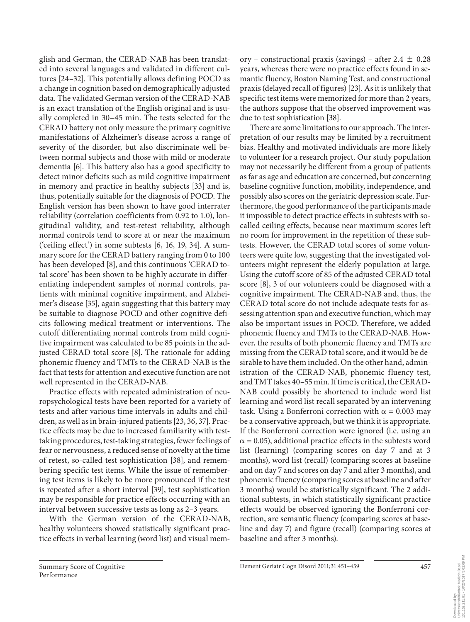glish and German, the CERAD-NAB has been translated into several languages and validated in different cultures [24–32] . This potentially allows defining POCD as a change in cognition based on demographically adjusted data. The validated German version of the CERAD-NAB is an exact translation of the English original and is usually completed in 30–45 min. The tests selected for the CERAD battery not only measure the primary cognitive manifestations of Alzheimer's disease across a range of severity of the disorder, but also discriminate well between normal subjects and those with mild or moderate dementia [6]. This battery also has a good specificity to detect minor deficits such as mild cognitive impairment in memory and practice in healthy subjects [33] and is, thus, potentially suitable for the diagnosis of POCD. The English version has been shown to have good interrater reliability (correlation coefficients from 0.92 to 1.0), longitudinal validity, and test-retest reliability, although normal controls tend to score at or near the maximum ('ceiling effect') in some subtests  $[6, 16, 19, 34]$ . A summary score for the CERAD battery ranging from 0 to 100 has been developed [8], and this continuous 'CERAD total score' has been shown to be highly accurate in differentiating independent samples of normal controls, patients with minimal cognitive impairment, and Alzheimer's disease [35], again suggesting that this battery may be suitable to diagnose POCD and other cognitive deficits following medical treatment or interventions. The cutoff differentiating normal controls from mild cognitive impairment was calculated to be 85 points in the adjusted CERAD total score [8]. The rationale for adding phonemic fluency and TMTs to the CERAD-NAB is the fact that tests for attention and executive function are not well represented in the CERAD-NAB.

 Practice effects with repeated administration of neuropsychological tests have been reported for a variety of tests and after various time intervals in adults and children, as well as in brain-injured patients [23, 36, 37] . Practice effects may be due to increased familiarity with testtaking procedures, test-taking strategies, fewer feelings of fear or nervousness, a reduced sense of novelty at the time of retest, so-called test sophistication [38], and remembering specific test items. While the issue of remembering test items is likely to be more pronounced if the test is repeated after a short interval [39], test sophistication may be responsible for practice effects occurring with an interval between successive tests as long as 2–3 years.

 With the German version of the CERAD-NAB, healthy volunteers showed statistically significant practice effects in verbal learning (word list) and visual memory – constructional praxis (savings) – after  $2.4 \pm 0.28$ years, whereas there were no practice effects found in semantic fluency, Boston Naming Test, and constructional praxis (delayed recall of figures) [23] . As it is unlikely that specific test items were memorized for more than 2 years, the authors suppose that the observed improvement was due to test sophistication [38].

 There are some limitations to our approach. The interpretation of our results may be limited by a recruitment bias. Healthy and motivated individuals are more likely to volunteer for a research project. Our study population may not necessarily be different from a group of patients as far as age and education are concerned, but concerning baseline cognitive function, mobility, independence, and possibly also scores on the geriatric depression scale. Furthermore, the good performance of the participants made it impossible to detect practice effects in subtests with socalled ceiling effects, because near maximum scores left no room for improvement in the repetition of these subtests. However, the CERAD total scores of some volunteers were quite low, suggesting that the investigated volunteers might represent the elderly population at large. Using the cutoff score of 85 of the adjusted CERAD total score [8], 3 of our volunteers could be diagnosed with a cognitive impairment. The CERAD-NAB and, thus, the CERAD total score do not include adequate tests for assessing attention span and executive function, which may also be important issues in POCD. Therefore, we added phonemic fluency and TMTs to the CERAD-NAB. However, the results of both phonemic fluency and TMTs are missing from the CERAD total score, and it would be desirable to have them included. On the other hand, administration of the CERAD-NAB, phonemic fluency test, and TMT takes 40–55 min. If time is critical, the CERAD-NAB could possibly be shortened to include word list learning and word list recall separated by an intervening task. Using a Bonferroni correction with  $\alpha = 0.003$  may be a conservative approach, but we think it is appropriate. If the Bonferroni correction were ignored (i.e. using an  $\alpha$  = 0.05), additional practice effects in the subtests word list (learning) (comparing scores on day 7 and at 3 months), word list (recall) (comparing scores at baseline and on day 7 and scores on day 7 and after 3 months), and phonemic fluency (comparing scores at baseline and after 3 months) would be statistically significant. The 2 additional subtests, in which statistically significant practice effects would be observed ignoring the Bonferroni correction, are semantic fluency (comparing scores at baseline and day 7) and figure (recall) (comparing scores at baseline and after 3 months).

Downloaded by:

Downloaded by:<br>Universitätsbibliothek Medizin Basel<br>131.152.211.61 - 10/23/2017 5:02:09 PM 131.152.211.61 - 10/23/2017 5:02:09 PMUniversitätsbibliothek Medizin Basel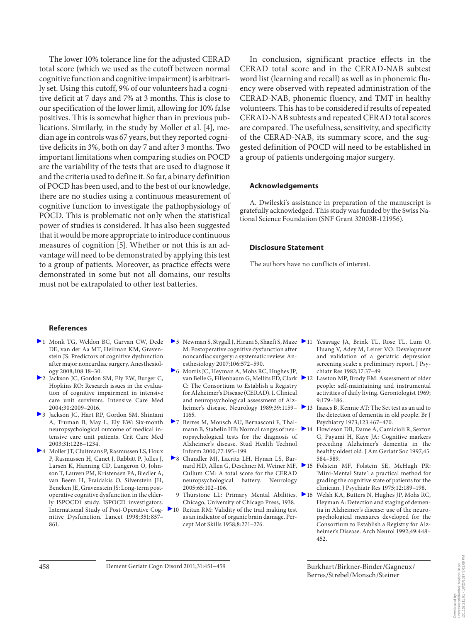The lower 10% tolerance line for the adjusted CERAD total score (which we used as the cutoff between normal cognitive function and cognitive impairment) is arbitrarily set. Using this cutoff, 9% of our volunteers had a cognitive deficit at 7 days and 7% at 3 months. This is close to our specification of the lower limit, allowing for 10% false positives. This is somewhat higher than in previous publications. Similarly, in the study by Moller et al. [4], median age in controls was 67 years, but they reported cognitive deficits in 3%, both on day 7 and after 3 months. Two important limitations when comparing studies on POCD are the variability of the tests that are used to diagnose it and the criteria used to define it. So far, a binary definition of POCD has been used, and to the best of our knowledge, there are no studies using a continuous measurement of cognitive function to investigate the pathophysiology of POCD. This is problematic not only when the statistical power of studies is considered. It has also been suggested that it would be more appropriate to introduce continuous measures of cognition [5]. Whether or not this is an advantage will need to be demonstrated by applying this test to a group of patients. Moreover, as practice effects were demonstrated in some but not all domains, our results must not be extrapolated to other test batteries.

In conclusion, significant practice effects in the CERAD total score and in the CERAD-NAB subtest word list (learning and recall) as well as in phonemic fluency were observed with repeated administration of the CERAD-NAB, phonemic fluency, and TMT in healthy volunteers. This has to be considered if results of repeated CERAD-NAB subtests and repeated CERAD total scores are compared. The usefulness, sensitivity, and specificity of the CERAD-NAB, its summary score, and the suggested definition of POCD will need to be established in a group of patients undergoing major surgery.

### **Acknowledgements**

 A. Dwileski's assistance in preparation of the manuscript is gratefully acknowledged. This study was funded by the Swiss National Science Foundation (SNF Grant 32003B-121956).

#### **Disclosure Statement**

The authors have no conflicts of interest.

#### **References**

- 1 Monk TG, Weldon BC, Garvan CW, Dede DE, van der Aa MT, Heilman KM, Gravenstein JS: Predictors of cognitive dysfunction after major noncardiac surgery. Anesthesiology 2008;108:18–30.
- <sup>2</sup> Jackson JC, Gordon SM, Ely EW, Burger C, Hopkins RO: Research issues in the evaluation of cognitive impairment in intensive care unit survivors. Intensive Care Med 2004;30:2009–2016.
- 3 Jackson JC, Hart RP, Gordon SM, Shintani A, Truman B, May L, Ely EW: Six-month neuropsychological outcome of medical intensive care unit patients. Crit Care Med 2003;31:1226–1234.
- 4 Moller JT, Cluitmans P, Rasmussen LS, Houx P, Rasmussen H, Canet J, Rabbitt P, Jolles J, Larsen K, Hanning CD, Langeron O, Johnson T, Lauven PM, Kristensen PA, Biedler A, van Beem H, Fraidakis O, Silverstein JH, Beneken JE, Gravenstein JS: Long-term postoperative cognitive dysfunction in the elderly ISPOCD1 study. ISPOCD investigators. International Study of Post-Operative Cognitive Dysfunction. Lancet 1998;351:857– 861.
- 5 Newman S, Stygall J, Hirani S, Shaefi S, Maze 11 Yesavage JA, Brink TL, Rose TL, Lum O, M: Postoperative cognitive dysfunction after noncardiac surgery: a systematic review. Anesthesiology 2007;106:572–590.
- 6 Morris JC, Heyman A, Mohs RC, Hughes JP, C: The Consortium to Establish a Registry for Alzheimer's Disease (CERAD). I. Clinical and neuropsychological assessment of Alz-1165.
- 7 Berres M, Monsch AU, Bernasconi F, Thalropsychological tests for the diagnosis of Alzheimer's disease. Stud Health Technol Inform 2000;77:195–199.
- 8 Chandler MJ, Lacritz LH, Hynan LS, Bar-Cullum CM: A total score for the CERAD neuropsychological battery. Neurology 2005;65:102–106.
- 9 Thurstone LL: Primary Mental Abilities. 16 Welsh KA, Butters N, Hughes JP, Mohs RC, Chicago, University of Chicago Press, 1938.
- 10 Reitan RM: Validity of the trail making test as an indicator of organic brain damage. Percept Mot Skills 1958;8:271–276.
- Huang V, Adey M, Leirer VO: Development and validation of a geriatric depression screening scale: a preliminary report. J Psychiatr Res 1982;17:37–49.
- van Belle G, Fillenbaum G, Mellits ED, Clark 12 Lawton MP, Brody EM: Assessment of older people: self-maintaining and instrumental activities of daily living. Gerontologist 1969; 9:179–186.
- heimer's disease. Neurology 1989;39:1159– 13 Isaacs B, Kennie AT: The Set test as an aid to the detection of dementia in old people. Br J Psychiatry 1973;123:467–470.
- mann B, Stahelin HB: Normal ranges of neu- 14 Howieson DB, Dame A, Camicioli R, Sexton G, Payami H, Kaye JA: Cognitive markers preceding Alzheimer's dementia in the healthy oldest old. J Am Geriatr Soc 1997;45: 584–589.
- nard HD, Allen G, Deschner M, Weiner MF, 15 Folstein MF, Folstein SE, McHugh PR: 'Mini-Mental State': a practical method for grading the cognitive state of patients for the clinician. J Psychiatr Res 1975;12:189–198.
	- Heyman A: Detection and staging of dementia in Alzheimer's disease: use of the neuropsychological measures developed for the Consortium to Establish a Registry for Alzheimer's Disease. Arch Neurol 1992;49:448– 452.

Downloaded by: